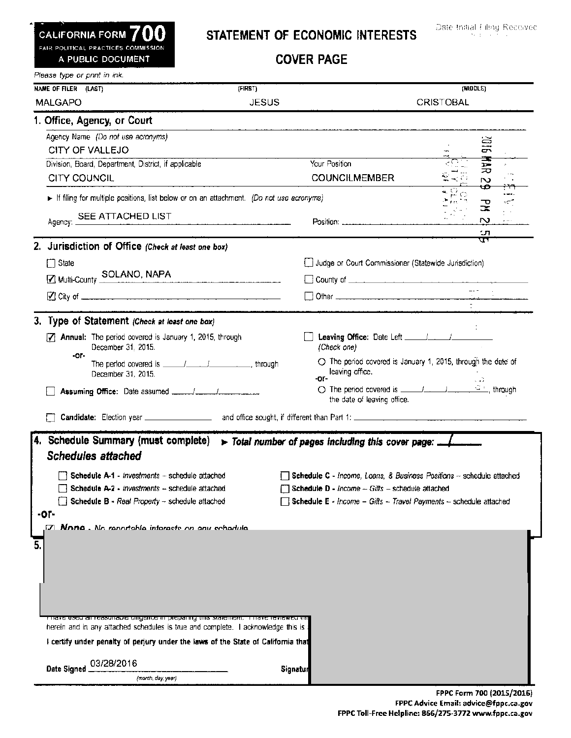FAIR POLITICAL PRACTICES COMMISSION

## ~ALI~ORNIA FORM **700** STATEMENT OF ECONOMIC INTERESTS

A PUBLIC DOCUMENT COVER PAGE

| Please type or print in ink.                                                                                                                                                                                            |              |                                                                                                                                                                                                                                                                            |                     |  |
|-------------------------------------------------------------------------------------------------------------------------------------------------------------------------------------------------------------------------|--------------|----------------------------------------------------------------------------------------------------------------------------------------------------------------------------------------------------------------------------------------------------------------------------|---------------------|--|
| <b>NAME OF FILER (LAST)</b>                                                                                                                                                                                             | (FIRST)      |                                                                                                                                                                                                                                                                            | (MIDDLE)            |  |
| <b>MALGAPO</b>                                                                                                                                                                                                          | <b>JESUS</b> |                                                                                                                                                                                                                                                                            | <b>CRISTOBAL</b>    |  |
| 1. Office, Agency, or Court                                                                                                                                                                                             |              |                                                                                                                                                                                                                                                                            |                     |  |
| Agency Name (Do not use acronyms)                                                                                                                                                                                       |              |                                                                                                                                                                                                                                                                            |                     |  |
| CITY OF VALLEJO                                                                                                                                                                                                         |              |                                                                                                                                                                                                                                                                            | 9ID.                |  |
| Division, Board, Department, District, if applicable                                                                                                                                                                    |              | Your Position                                                                                                                                                                                                                                                              | $\blacksquare$<br>ᆽ |  |
| CITY COUNCIL                                                                                                                                                                                                            |              | <b>COUNCILMEMBER</b>                                                                                                                                                                                                                                                       | $\sim$<br>₩<br>حمبر |  |
| If filing for multiple positions, list below or on an attachment. (Do not use acronyms)                                                                                                                                 |              |                                                                                                                                                                                                                                                                            | المحمدة<br>-71      |  |
| Agency: SEE ATTACHED LIST                                                                                                                                                                                               |              |                                                                                                                                                                                                                                                                            | 궃<br>$\mathbf{v}$   |  |
|                                                                                                                                                                                                                         |              | $Position:$ $\ldots$ $\ldots$ $\ldots$ $\ldots$ $\ldots$ $\ldots$ $\ldots$                                                                                                                                                                                                 | tл                  |  |
| 2. Jurisdiction of Office (Check at least one box)                                                                                                                                                                      |              |                                                                                                                                                                                                                                                                            | ਬਾਲ                 |  |
| $\Box$ State                                                                                                                                                                                                            |              | Judge or Court Commissioner (Statewide Jurisdiction)                                                                                                                                                                                                                       |                     |  |
| Multi-County SOLANO, NAPA                                                                                                                                                                                               |              |                                                                                                                                                                                                                                                                            |                     |  |
|                                                                                                                                                                                                                         |              |                                                                                                                                                                                                                                                                            |                     |  |
|                                                                                                                                                                                                                         |              |                                                                                                                                                                                                                                                                            |                     |  |
| 3. Type of Statement (Check at least one box)                                                                                                                                                                           |              |                                                                                                                                                                                                                                                                            |                     |  |
| <b>7</b> Annual: The period covered is January 1, 2015, through<br>December 31, 2015.                                                                                                                                   |              | (Check one)                                                                                                                                                                                                                                                                |                     |  |
| -or-<br>December 31, 2015.                                                                                                                                                                                              |              | $\bigcirc$ The period covered is January 1, 2015, through the date of<br>leaving office.<br>-or-                                                                                                                                                                           |                     |  |
|                                                                                                                                                                                                                         |              | the date of leaving office.                                                                                                                                                                                                                                                | تدبا                |  |
|                                                                                                                                                                                                                         |              |                                                                                                                                                                                                                                                                            |                     |  |
| 4. Schedule Summary (must complete)<br><b>Schedules attached</b><br>Schedule A-1 - Investments - schedule attached<br>Schedule A-2 - Investments -- schedule attached<br>Schedule B - Real Property - schedule attached |              | > Total number of pages including this cover page: _______<br>Schedule C - Income, Loans, & Business Positions - schedule attached<br><b>Schedule D</b> - $income - Gifts - schedule$ attached<br><b>Schedule E</b> - Income - Gifts - Travel Payments - schedule attached |                     |  |
| -or-<br>57 <b>None .</b> No conortable interacts on any schedule                                                                                                                                                        |              |                                                                                                                                                                                                                                                                            |                     |  |
|                                                                                                                                                                                                                         |              |                                                                                                                                                                                                                                                                            |                     |  |
| 5.                                                                                                                                                                                                                      |              |                                                                                                                                                                                                                                                                            |                     |  |
|                                                                                                                                                                                                                         |              |                                                                                                                                                                                                                                                                            |                     |  |
|                                                                                                                                                                                                                         |              |                                                                                                                                                                                                                                                                            |                     |  |
|                                                                                                                                                                                                                         |              |                                                                                                                                                                                                                                                                            |                     |  |
| <u>Firave used air reasonable uiligenud in preparing inis statement. Thave reviewed th</u>                                                                                                                              |              |                                                                                                                                                                                                                                                                            |                     |  |
| herein and in any attached schedules is true and complete. I acknowledge this is                                                                                                                                        |              |                                                                                                                                                                                                                                                                            |                     |  |
| I certify under penalty of perjury under the laws of the State of California that                                                                                                                                       |              |                                                                                                                                                                                                                                                                            |                     |  |
| 03/28/2016                                                                                                                                                                                                              |              |                                                                                                                                                                                                                                                                            |                     |  |
| Date Signed<br>(month, day, year)                                                                                                                                                                                       | Signatur     |                                                                                                                                                                                                                                                                            |                     |  |

L